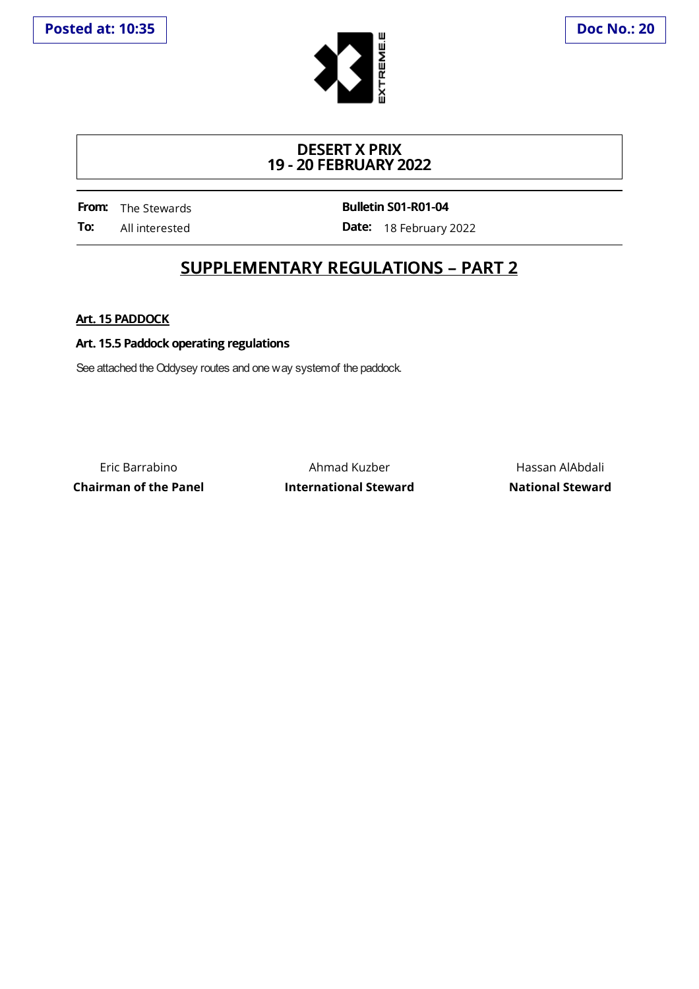

## **DESERT X PRIX 19 - 20 FEBRUARY 2022**

**From:** The Stewards **To:** All interested **Bulletin S01-R01-04**

**Date:** 18 February 2022

## **SUPPLEMENTARY REGULATIONS – PART 2**

**Art. 15 PADDOCK**

## **Art. 15.5 Paddock operating regulations**

See attached the Oddysey routes and one way system of the paddock.

Eric Barrabino Ahmad Kuzber Hassan AlAbdali **Chairman of the Panel International Steward National Steward**